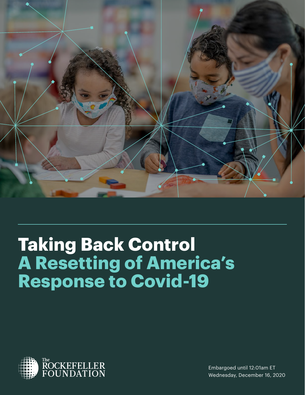

# **Taking Back Control A Resetting of America's Response to Covid-19**



Embargoed until 12:01am ET Wednesday, December 16, 2020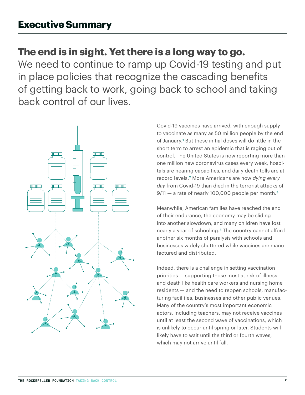# **The end is in sight. Yet there is a long way to go.**

We need to continue to ramp up Covid-19 testing and put in place policies that recognize the cascading benefits of getting back to work, going back to school and taking back control of our lives.



Covid-19 vaccines have arrived, with enough supply to vaccinate as many as 50 million people by the end of January.**<sup>1</sup>** But these initial doses will do little in the short term to arrest an epidemic that is raging out of control. The United States is now reporting more than one million new coronavirus cases every week, hospitals are nearing capacities, and daily death tolls are at record levels.**2** More Americans are now *dying every day* from Covid-19 than died in the terrorist attacks of 9/11 — a rate of nearly 100,000 people per month.**[3](https://www.usnews.com/news/health-news/articles/2020-12-10/one-day-us-deaths-top-3-000-more-than-d-day-or-9-11 
)**

Meanwhile, American families have reached the end of their endurance, the economy may be sliding into another slowdown, and many children have lost nearly a year of schooling.**[4](https://www.axios.com/economic-cost-closed-schools-e2c7a948-e89f-4431-9f1e-a900a422749c.html 
)** The country cannot afford another six months of paralysis with schools and businesses widely shuttered while vaccines are manufactured and distributed.

Indeed, there is a challenge in setting vaccination priorities — supporting those most at risk of illness and death like health care workers and nursing home residents — and the need to reopen schools, manufacturing facilities, businesses and other public venues. Many of the country's most important economic actors, including teachers, may not receive vaccines until at least the second wave of vaccinations, which is unlikely to occur until spring or later. Students will likely have to wait until the third or fourth waves, which may not arrive until fall.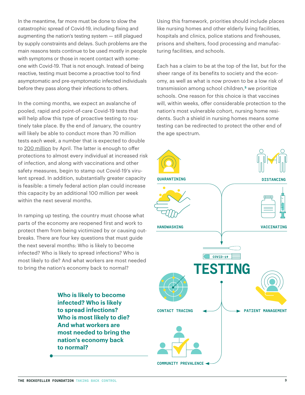In the meantime, far more must be done to slow the catastrophic spread of Covid-19, including fixing and augmenting the nation's testing system — still plagued by supply constraints and delays. Such problems are the main reasons tests continue to be used mostly in people with symptoms or those in recent contact with someone with Covid-19. That is not enough. Instead of being reactive, testing must become a proactive tool to find asymptomatic and pre-symptomatic infected individuals before they pass along their infections to others.

In the coming months, we expect an avalanche of pooled, rapid and point-of-care Covid-19 tests that will help allow this type of proactive testing to routinely take place. By the end of January, the country will likely be able to conduct more than 70 million tests *each week*, a number that is expected to double to 200 million by April. The latter is enough to offer protections to almost every individual at increased risk of infection, and along with vaccinations and other safety measures, begin to stamp out Covid-19's virulent spread. In addition, substantially greater capacity is feasible: a timely federal action plan could increase this capacity by an additional 100 million per week within the next several months.

In ramping up testing, the country must choose what parts of the economy are reopened first and work to protect them from being victimized by or causing outbreaks. There are four key questions that must guide the next several months: Who is likely to become infected? Who is likely to spread infections? Who is most likely to die? And what workers are most needed to bring the nation's economy back to normal?

> **Who is likely to become infected? Who is likely to spread infections? Who is most likely to die? And what workers are most needed to bring the nation's economy back to normal?**

Using this framework, priorities should include places like nursing homes and other elderly living facilities, hospitals and clinics, police stations and firehouses, prisons and shelters, food processing and manufacturing facilities, and schools.

Each has a claim to be at the top of the list, but for the sheer range of its benefits to society and the economy, as well as what is now proven to be a low risk of transmission among school children,**[5](https://www.nature.com/articles/d41586-020-02973-3 
)** we prioritize schools. One reason for this choice is that vaccines will, within weeks, offer considerable protection to the nation's most vulnerable cohort, nursing home residents. Such a shield in nursing homes means some testing can be redirected to protect the other end of the age spectrum.

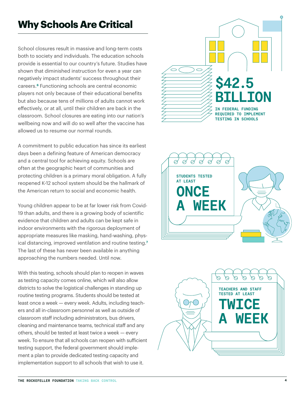# **Why Schools Are Critical**

School closures result in massive and long-term costs both to society and individuals. The education schools provide is essential to our country's future. Studies have shown that diminished instruction for even a year can negatively impact students' success throughout their careers.**[6](http://www.oecd.org/education/The-economic-impacts-of-coronavirus-covid-19-learning-losses.pdf 
)** Functioning schools are central economic players not only because of their educational benefits but also because tens of millions of adults cannot work effectively, or at all, until their children are back in the classroom. School closures are eating into our nation's wellbeing now and will do so well after the vaccine has allowed us to resume our normal rounds.

A commitment to public education has since its earliest days been a defining feature of American democracy and a central tool for achieving equity. Schools are often at the geographic heart of communities and protecting children is a primary moral obligation. A fully reopened K-12 school system should be the hallmark of the American return to social and economic health.

Young children appear to be at far lower risk from Covid-19 than adults, and there is a growing body of scientific evidence that children and adults can be kept safe in indoor environments with the rigorous deployment of appropriate measures like masking, hand-washing, physical distancing, improved ventilation and routine testing.**[7](https://www.cdc.gov/coronavirus/2019-ncov/hcp/pediatric-hcp.html )** The last of these has never been available in anything approaching the numbers needed. Until now.

With this testing, schools should plan to reopen in waves as testing capacity comes online, which will also allow districts to solve the logistical challenges in standing up routine testing programs. Students should be tested at least once a week — every week. Adults, including teachers and all in-classroom personnel as well as outside of classroom staff including administrators, bus drivers, cleaning and maintenance teams, technical staff and any others, should be tested at least twice a week — every week. To ensure that all schools can reopen with sufficient testing support, the federal government should implement a plan to provide dedicated testing capacity and implementation support to all schools that wish to use it.





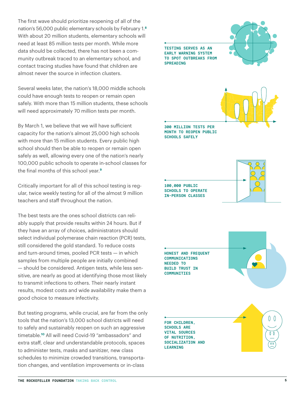The first wave should prioritize reopening of all of the nation's 56,000 public elementary schools by February 1.**[8](https://www.edweek.org/leadership/education-statistics-facts-about-american-schools/2019/01 
)** With about 20 million students, elementary schools will need at least 85 million tests per month. While more data should be collected, there has not been a community outbreak traced to an elementary school, and contact tracing studies have found that children are almost never the source in infection clusters.

Several weeks later, the nation's 18,000 middle schools could have enough tests to reopen or remain open safely. With more than 15 million students, these schools will need approximately 70 million tests per month.

By March 1, we believe that we will have sufficient capacity for the nation's almost 25,000 high schools with more than 15 million students. Every public high school should then be able to reopen or remain open safely as well, allowing every one of the nation's nearly 100,000 public schools to operate in-school classes for the final months of this school year.**[9](https://www.edweek.org/leadership/education-statistics-facts-about-american-schools/2019/01 
)**

Critically important for all of this school testing is regular, twice weekly testing for all of the almost 9 million teachers and staff throughout the nation.

The best tests are the ones school districts can reliably supply that provide results within 24 hours. But if they have an array of choices, administrators should select individual polymerase chain reaction (PCR) tests, still considered the gold standard. To reduce costs and turn-around times, pooled PCR tests — in which samples from multiple people are initially combined — should be considered. Antigen tests, while less sensitive, are nearly as good at identifying those most likely to transmit infections to others. Their nearly instant results, modest costs and wide availability make them a good choice to measure infectivity.

But testing programs, while crucial, are far from the only tools that the nation's 13,000 school districts will need to safely and sustainably reopen on such an aggressive timetable.**[10](https://nces.ed.gov/programs/digest/d12/tables/dt12_098.asp 
)** All will need Covid-19 "ambassadors" and extra staff, clear and understandable protocols, spaces to administer tests, masks and sanitizer, new class schedules to minimize crowded transitions, transportation changes, and ventilation improvements or in-class

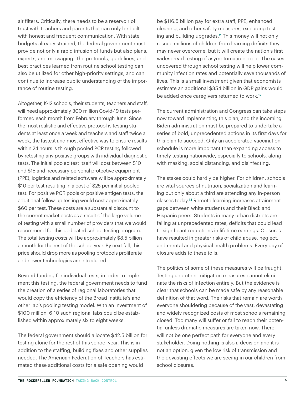air filters. Critically, there needs to be a reservoir of trust with teachers and parents that can only be built with honest and frequent communication. With state budgets already strained, the federal government must provide not only a rapid infusion of funds but also plans, experts, and messaging. The protocols, guidelines, and best practices learned from routine school testing can also be utilized for other high-priority settings, and can continue to increase public understanding of the importance of routine testing.

Altogether, K-12 schools, their students, teachers and staff, will need approximately 300 million Covid-19 tests performed each month from February through June. Since the most realistic and effective protocol is testing students at least once a week and teachers and staff twice a week, the fastest and most effective way to ensure results within 24 hours is through pooled PCR testing followed by retesting any positive groups with individual diagnostic tests. The initial pooled test itself will cost between \$10 and \$15 and necessary personal protective equipment (PPE), logistics and related software will be approximately \$10 per test resulting in a cost of \$25 per initial pooled test. For positive PCR pools or positive antigen tests, the additional follow-up testing would cost approximately \$60 per test. These costs are a substantial discount to the current market costs as a result of the large volume of testing with a small number of providers that we would recommend for this dedicated school testing program. The total testing costs will be approximately \$8.5 billion a month for the rest of the school year. By next fall, this price should drop more as pooling protocols proliferate and newer technologies are introduced.

Beyond funding for individual tests, in order to implement this testing, the federal government needs to fund the creation of a series of regional laboratories that would copy the efficiency of the Broad Institute's and other lab's pooling testing model. With an investment of \$100 million, 6-10 such regional labs could be established within approximately six to eight weeks.

The federal government should allocate \$42.5 billion for testing alone for the rest of this school year. This is in addition to the staffing, building fixes and other supplies needed. The American Federation of Teachers has estimated these additional costs for a safe opening would

be \$116.5 billion pay for extra staff, PPE, enhanced cleaning, and other safety measures, excluding testing and building upgrades.**[11](https://www.aft.org/reopening-schools-during-time-triple-crisis-financial-implications 
)** This money will not only rescue millions of children from learning deficits they may never overcome, but it will create the nation's first widespread testing of asymptomatic people. The cases uncovered through school testing will help lower community infection rates and potentially save thousands of lives. This is a small investment given that economists estimate an additional \$354 billion in GDP gains would be added once caregivers returned to work.**[12](https://www.axios.com/economic-cost-closed-schools-e2c7a948-e89f-4431-9f1e-a900a422749c.html 
)**

The current administration and Congress can take steps now toward implementing this plan, and the incoming Biden administration must be prepared to undertake a series of bold, unprecedented actions in its first days for this plan to succeed. Only an accelerated vaccination schedule is more important than expanding access to timely testing nationwide, especially to schools, along with masking, social distancing, and disinfecting.

The stakes could hardly be higher. For children, schools are vital sources of nutrition, socialization and learning but only about a third are attending any in-person classes today.**[13](https://cai.burbio.com/school-opening-tracker/
)** Remote learning increases attainment gaps between white students and their Black and Hispanic peers. Students in many urban districts are failing at unprecedented rates, deficits that could lead to significant reductions in lifetime earnings. Closures have resulted in greater risks of child abuse, neglect, and mental and physical health problems. Every day of closure adds to these tolls.

The politics of some of these measures will be fraught. Testing and other mitigation measures cannot eliminate the risks of infection entirely. But the evidence is clear that schools can be made safe by any reasonable definition of that word. The risks that remain are worth everyone shouldering because of the vast, devastating and widely recognized costs of most schools remaining closed. Too many will suffer or fail to reach their potential unless dramatic measures are taken now. There will not be one perfect path for everyone and every stakeholder. Doing nothing is also a decision and it is not an option, given the low risk of transmission and the devasting effects we are seeing in our children from school closures.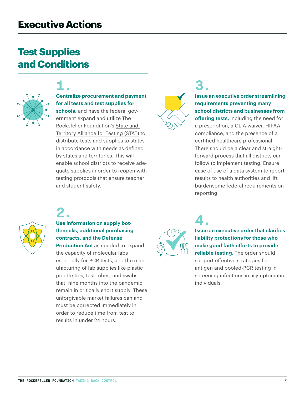# **Test Supplies and Conditions**



# **1. Centralize procurement and payment for all tests and test supplies for**

**schools,** and have the federal government expand and utilize The Rockefeller Foundation's [State and](https://www.rockefellerfoundation.org/covid-19-response/stat)  [Territory Alliance for Testing \(STAT\)](https://www.rockefellerfoundation.org/covid-19-response/stat) to distribute tests and supplies to states in accordance with needs as defined by states and territories. This will enable school districts to receive adequate supplies in order to reopen with testing protocols that ensure teacher and student safety.



# **3. Issue an executive order streamlining requirements preventing many school districts and businesses from**

**offering tests,** including the need for a prescription, a CLIA waiver, HIPAA compliance, and the presence of a certified healthcare professional. There should be a clear and straightforward process that all districts can follow to implement testing. Ensure ease of use of a data system to report results to health authorities and lift burdensome federal requirements on reporting.



# **2.**

### **Use information on supply bottlenecks, additional purchasing contracts, and the Defense**

**Production Act** as needed to expand the capacity of molecular labs especially for PCR tests, and the manufacturing of lab supplies like plastic pipette tips, test tubes, and swabs that, nine months into the pandemic, remain in critically short supply. These unforgivable market failures can and must be corrected immediately in order to reduce time from test to results in under 24 hours.



# **4. Issue an executive order that clarifies liability protections for those who make good faith efforts to provide reliable testing.** The order should support effective strategies for antigen and pooled-PCR testing in screening infections in asymptomatic individuals.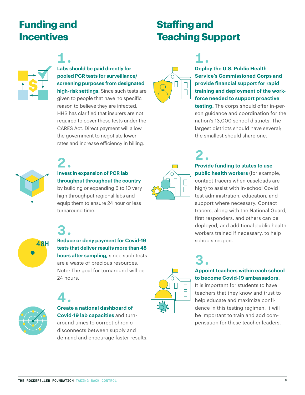# **Funding and Incentives**

# **Staffing and Teaching Support**

**1.** 



# **Labs should be paid directly for**

**pooled PCR tests for surveillance/ screening purposes from designated high-risk settings.** Since such tests are given to people that have no specific reason to believe they are infected, HHS has clarified that insurers are not required to cover these tests under the CARES Act. Direct payment will allow the government to negotiate lower rates and increase efficiency in billing.



# **1. Deploy the U.S. Public Health Service's Commissioned Corps and provide financial support for rapid training and deployment of the workforce needed to support proactive**

**testing.** The corps should offer in-person guidance and coordination for the nation's 13,000 school districts. The largest districts should have several; the smallest should share one.

**2.**

# **Invest in expansion of PCR lab throughput throughout the country**

by building or expanding 6 to 10 very high throughput regional labs and equip them to ensure 24 hour or less turnaround time.



# **2. Provide funding to states to use public health workers** (for example, contact tracers when caseloads are high) to assist with in-school Covid test administration, education, and support where necessary. Contact tracers, along with the National Guard, first responders, and others can be

deployed, and additional public health workers trained if necessary, to help schools reopen.

# **3. Appoint teachers within each school to become Covid-19 ambassadors.**

It is important for students to have teachers that they know and trust to help educate and maximize confidence in this testing regimen. It will be important to train and add compensation for these teacher leaders.



**48H**

# **3. Reduce or deny payment for Covid-19 tests that deliver results more than 48 hours after sampling,** since such tests are a waste of precious resources.

Note: The goal for turnaround will be 24 hours.



# **4. Create a national dashboard of Covid-19 lab capacities** and turnaround times to correct chronic disconnects between supply and

demand and encourage faster results.



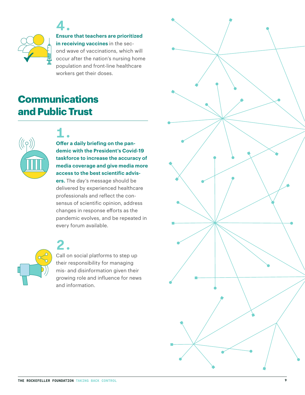

**4. Ensure that teachers are prioritized in receiving vaccines** in the sec-

ond wave of vaccinations, which will occur after the nation's nursing home population and front-line healthcare workers get their doses.

# **Communications and Public Trust**



# **1. Offer a daily briefing on the pandemic with the President's Covid-19 taskforce to increase the accuracy of media coverage and give media more access to the best scientific advis-**

**ers.** The day's message should be delivered by experienced healthcare professionals and reflect the consensus of scientific opinion, address changes in response efforts as the pandemic evolves, and be repeated in every forum available.



# **2.** Call on social platforms to step up their responsibility for managing mis- and disinformation given their growing role and influence for news and information.

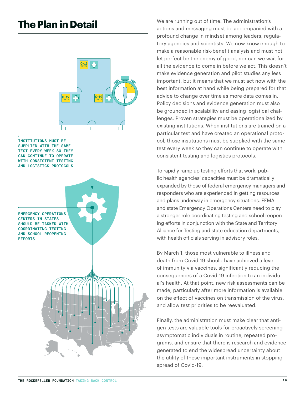

**The Plan in Detail** We are running out of time. The administration's actions and messaging must be accompanied with a profound change in mindset among leaders, regulatory agencies and scientists. We now know enough to make a reasonable risk-benefit analysis and must not let perfect be the enemy of good, nor can we wait for all the evidence to come in before we act. This doesn't make evidence generation and pilot studies any less important, but it means that we must act now with the best information at hand while being prepared for that advice to change over time as more data comes in. Policy decisions and evidence generation must also be grounded in scalability and easing logistical challenges. Proven strategies must be operationalized by existing institutions. When institutions are trained on a particular test and have created an operational protocol, those institutions must be supplied with the same test every week so they can continue to operate with consistent testing and logistics protocols.

> To rapidly ramp up testing efforts that work, public health agencies' capacities must be dramatically expanded by those of federal emergency managers and responders who are experienced in getting resources and plans underway in emergency situations. FEMA and state Emergency Operations Centers need to play a stronger role coordinating testing and school reopening efforts in conjunction with the State and Territory Alliance for Testing and state education departments, with health officials serving in advisory roles.

> By March 1, those most vulnerable to illness and death from Covid-19 should have achieved a level of immunity via vaccines, significantly reducing the consequences of a Covid-19 infection to an individual's health. At that point, new risk assessments can be made, particularly after more information is available on the effect of vaccines on transmission of the virus, and allow test priorities to be reevaluated.

Finally, the administration must make clear that antigen tests are valuable tools for proactively screening asymptomatic individuals in routine, repeated programs, and ensure that there is research and evidence generated to end the widespread uncertainty about the utility of these important instruments in stopping spread of Covid-19.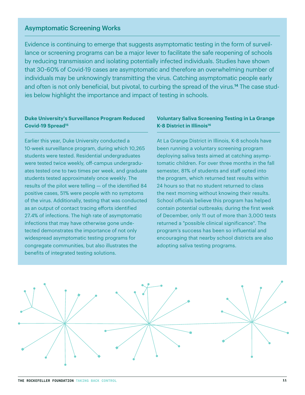#### Asymptomatic Screening Works

Evidence is continuing to emerge that suggests asymptomatic testing in the form of surveillance or screening programs can be a major lever to facilitate the safe reopening of schools by reducing transmission and isolating potentially infected individuals. Studies have shown that 30-60% of Covid-19 cases are asymptomatic and therefore an overwhelming number of individuals may be unknowingly transmitting the virus. Catching asymptomatic people early and often is not only beneficial, but pivotal, to curbing the spread of the virus.**[14](https://www.ncbi.nlm.nih.gov/pmc/articles/PMC7314132/
)** The case studies below highlight the importance and impact of testing in schools.

#### **Duke University's Surveillance Program Reduced Covid-19 Sprea[d15](https://www.cdc.gov/mmwr/volumes/69/wr/mm6946e1.htm
)**

Earlier this year, Duke University conducted a 10-week surveillance program, during which 10,265 students were tested. Residential undergraduates were tested twice weekly, off-campus undergraduates tested one to two times per week, and graduate students tested approximately once weekly. The results of the pilot were telling — of the identified 84 positive cases, 51% were people with no symptoms of the virus. Additionally, testing that was conducted as an output of contact tracing efforts identified 27.4% of infections. The high rate of asymptomatic infections that may have otherwise gone undetected demonstrates the importance of not only widespread asymptomatic testing programs for congregate communities, but also illustrates the benefits of integrated testing solutions.

#### **Voluntary Saliva Screening Testing in La Grange K-8 District in Illinoi[s16](https://abc7chicago.com/saliva-covid-test-la-grange-chicago-near-me/8586855/
)**

At La Grange District in Illinois, K-8 schools have been running a voluntary screening program deploying saliva tests aimed at catching asymptomatic children. For over three months in the fall semester, 81% of students and staff opted into the program, which returned test results within 24 hours so that no student returned to class the next morning without knowing their results. School officials believe this program has helped contain potential outbreaks; during the first week of December, only 11 out of more than 3,000 tests returned a "possible clinical significance". The program's success has been so influential and encouraging that nearby school districts are also adopting saliva testing programs.

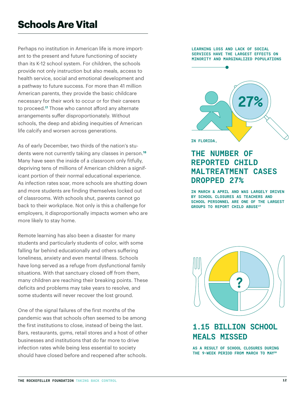# **Schools Are Vital**

Perhaps no institution in American life is more important to the present and future functioning of society than its K-12 school system. For children, the schools provide not only instruction but also meals, access to health service, social and emotional development and a pathway to future success. For more than 41 millio[n](https://www.brookings.edu/research/working-parents-are-key-to-covid-19-recovery/
) American parents, they provide the basic childcare necessary for their work to occur or for their careers to proceed.**17** Those who cannot afford any alternate arrangements suffer disproportionately. Without schools, the deep and abiding inequities of American life calcify and worsen across generations.

As of early December, two thirds of the nation's students were not currently taking any classes in person.**<sup>18</sup>** Many have seen the inside of a classroom only fitfully, depriving tens of millions of American children a significant portion of their normal educational experience. As infection rates soar, more schools are shutting down and more students are finding themselves locked out of classrooms. With schools shut, parents cannot go back to their workplace. Not only is this a challenge for employers, it disproportionally impacts women who are more likely to stay home.

Remote learning has also been a disaster for many students and particularly students of color, with some falling far behind educationally and others suffering loneliness, anxiety and even mental illness. Schools have long served as a refuge from dysfunctional family situations. With that sanctuary closed off from them, many children are reaching their breaking points. These deficits and problems may take years to resolve, and some students will never recover the lost ground.

One of the signal failures of the first months of the pandemic was that schools often seemed to be among the first institutions to close, instead of being the last. Bars, restaurants, gyms, retail stores and a host of other businesses and institutions that do far more to drive infection rates while being less essential to society should have closed before and reopened after schools.

#### **LEARNING LOSS AND LACK OF SOCIAL SERVICES HAVE THE LARGEST EFFECTS ON MINORITY AND MARGINALIZED POPULATIONS**



# **THE NUMBER OF REPORTED CHILD MALTREATMENT CASES DROPPED 27%**

**IN MARCH & APRIL AND WAS LARGELY DRIVEN BY SCHOOL CLOSURES AS TEACHERS AND SCHOOL PERSONNEL ARE ONE OF THE LARGEST GROUPS TO REPORT CHILD ABUS[E19](https://www.ncbi.nlm.nih.gov/pmc/articles/PMC7441889/
)**



# **1.15 BILLION SCHOOL MEALS MISSED**

**AS A RESULT OF SCHOOL CLOSURES DURING THE 9-WEEK PERIOD FROM MARCH TO MA[Y20](https://ajph.aphapublications.org/doi/10.2105/AJPH.2020.305875
)**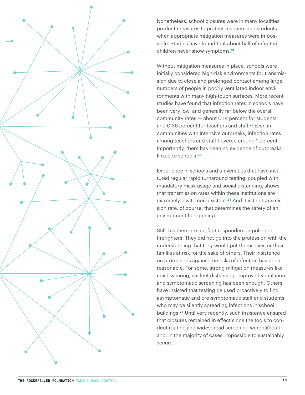

Nonetheless, school closures were in many localities prudent measures to protect teachers and students when appropriate mitigation measures were impossible. Studies have found that about half of infected children never show symptoms.**[21](https://www.healthline.com/health-news/children-may-be-silent-carriers-of-covid-19 
)**

Without mitigation measures in place, schools were initially considered high-risk environments for transmission due to close and prolonged contact among large numbers of people in poorly ventilated indoor environments with many high-touch surfaces. More recent studies have found that infection rates in schools have been very low, and generally far below the overall community rates — about 0.14 percent for students and 0.36 percent for teachers and staff.**[22](https://statsiq.co1.qualtrics.com/public-dashboard/v0/dashboard/5f78e5d4de521a001036f78e#/dashboard/5f78e5d4de521a001036f78e?pageId=Page_c0595a5e-9e70-4df2-ab0c-14860e84d36a 
)** Even in communities with intensive outbreaks, infection rates among teachers and staff hovered around 1 percent. Importantly, there has been no evidence of outbreaks linked to schools.**[23](https://www.npr.org/2020/10/21/925794511/were-the-risks-of-reopening-schools-exaggerated 
)**

Experience in schools and universities that have instituted regular rapid turnaround testing, coupled with mandatory mask usage and social distancing, shows that transmission rates within these institutions are extremely low to non-existent.**[24](https://www.npr.org/sections/health-shots/2020/08/15/902616040/can-testing-students-for-coronavirus-twice-a-week-prevent-campus-outbreaks 
)** And it is the transmission rate, of course, that determines the safety of an environment for opening.

Still, teachers are not first responders or police or firefighters. They did not go into the profession with the understanding that they would put themselves or their families at risk for the sake of others. Their insistence on protections against the risks of infection has been reasonable. For some, strong mitigation measures like mask-wearing, six-feet distancing, improved ventilation and symptomatic screening has been enough. Others have insisted that testing be used proactively to find asymptomatic and pre-symptomatic staff and students who may be silently spreading infections in school buildings.**[25](https://www.pnas.org/content/117/30/17513 
)** Until very recently, such insistence ensured that closures remained in effect since the tools to conduct routine and widespread screening were difficult and, in the majority of cases, impossible to sustainably secure.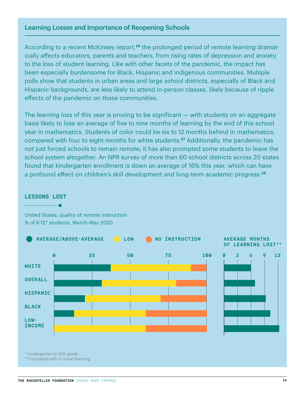### Learning Losses and Importance of Reopening Schools

According to a recent McKinsey report,**26** the prolonged period of remote learning dramatically affects educators, parents and teachers, from rising rates of depression and anxiety to the loss of student learning. Like with other facets of the pandemic, the impact has been especially burdensome for Black, Hispanic and indigenous communities. Multiple polls show that students in urban areas and large school districts, especially of Black and Hispanic backgrounds, are less likely to attend in-person classes, likely because of ripple effects of the pandemic on those communities.

The learning loss of this year is proving to be significant — with students on an aggregate basis likely to lose an average of five to nine months of learning by the end of this school year in mathematics. Students of color could be six to 12 months behind in mathematics, compared with four to eight months for white students.**[27](https://www.mckinsey.com/industries/public-and-social-sector/our-insights/covid-19-and-learning-loss-disparities-grow-and-students-need-help#
)** Additionally, the pandemic has not just forced schools to remain remote; it has also prompted some students to leave the school system altogether. An NPR survey of more than 60 school districts across 20 states found that kindergarten enrollment is down an average of 16% this year, which can have a profound effect on children's skill development and long-term academic progress.**<sup>28</sup>**



### **LESSONS LOST**

United States, quality of remote instruction % of K-12\* students, March-May 2020

\* Kindergarten to 12th grade

\*\*Compared with in-room learning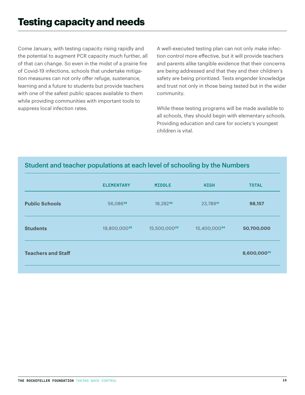Come January, with testing capacity rising rapidly and the potential to augment PCR capacity much further, all of that can change. So even in the midst of a prairie fire of Covid-19 infections, schools that undertake mitigation measures can not only offer refuge, sustenance, learning and a future to students but provide teachers with one of the safest public spaces available to them while providing communities with important tools to suppress local infection rates.

A well-executed testing plan can not only make infection control more effective, but it will provide teachers and parents alike tangible evidence that their concerns are being addressed and that they and their children's safety are being prioritized. Tests engender knowledge and trust not only in those being tested but in the wider community.

While these testing programs will be made available to all schools, they should begin with elementary schools. Providing education and care for society's youngest children is vital.

# Student and teacher populations at each level of schooling by the Numbers

|                           | <b>ELEMENTARY</b> | <b>MIDDLE</b> | <b>HIGH</b>  | <b>TOTAL</b> |  |
|---------------------------|-------------------|---------------|--------------|--------------|--|
| <b>Public Schools</b>     | 56,08629          | 18,28230      | 23,78931     | 98,157       |  |
| <b>Students</b>           | 19,800,00032      | 15,500,00033  | 15,400,00034 | 50,700,000   |  |
| <b>Teachers and Staff</b> |                   |               |              | 8,600,00035  |  |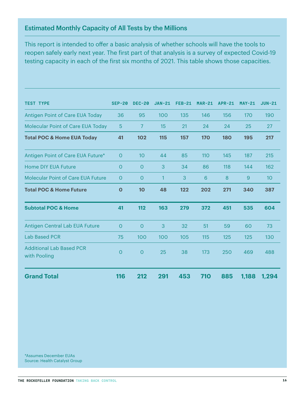### Estimated Monthly Capacity of All Tests by the Millions

This report is intended to offer a basic analysis of whether schools will have the tools to reopen safely early next year. The first part of that analysis is a survey of expected Covid-19 testing capacity in each of the first six months of 2021. This table shows those capacities.

| <b>TEST TYPE</b>                                | $SEP-20$    | <b>DEC-20</b>  | $JAN-21$     | <b>FEB-21</b> | $MAR-21$ | <b>APR-21</b> | $MAY-21$ | $JUN-21$ |
|-------------------------------------------------|-------------|----------------|--------------|---------------|----------|---------------|----------|----------|
| Antigen Point of Care EUA Today                 | 36          | 95             | 100          | 135           | 146      | 156           | 170      | 190      |
| Molecular Point of Care EUA Today               | 5           | 7              | 15           | 21            | 24       | 24            | 25       | 27       |
| <b>Total POC &amp; Home EUA Today</b>           | 41          | 102            | 115          | 157           | 170      | <b>180</b>    | 195      | 217      |
| Antigen Point of Care EUA Future*               | $\Omega$    | 10             | 44           | 85            | 110      | 145           | 187      | 215      |
| <b>Home DIY EUA Future</b>                      | 0           | $\overline{O}$ | 3            | 34            | 86       | 118           | 144      | 162      |
| <b>Molecular Point of Care EUA Future</b>       | 0           | $\Omega$       | $\mathbf{1}$ | 3             | 6        | 8             | 9        | 10       |
| <b>Total POC &amp; Home Future</b>              | $\mathbf 0$ | 10             | 48           | 122           | 202      | 271           | 340      | 387      |
| <b>Subtotal POC &amp; Home</b>                  | 41          | 112            | 163          | 279           | 372      | 451           | 535      | 604      |
| Antigen Central Lab EUA Future                  | $\Omega$    | $\Omega$       | 3            | 32            | 51       | 59            | 60       | 73       |
| <b>Lab Based PCR</b>                            | 75          | 100            | 100          | 105           | 115      | 125           | 125      | 130      |
| <b>Additional Lab Based PCR</b><br>with Pooling | 0           | $\overline{O}$ | 25           | 38            | 173      | 250           | 469      | 488      |
| <b>Grand Total</b>                              | 116         | 212            | 291          | 453           | 710      | 885           | 1,188    | 1,294    |

\*Assumes December EUAs Source: Health Catalyst Group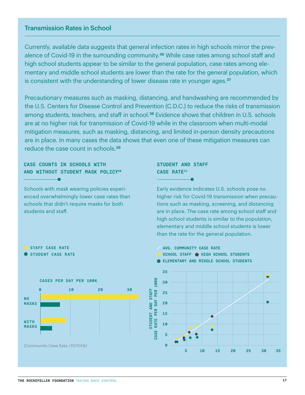### Transmission Rates in School

Currently, available data suggests that general infection rates in high schools mirror the prevalence of Covid-19 in the surrounding community.**[36](https://www.washingtonpost.com/opinions/2020/11/20/covid-19-schools-data-reopening-safety/?arc404=true
)** While case rates among school staff and high school students appear to be similar to the general population, case rates among elementary and middle school students are lower than the rate for the general population, which is consistent with the understanding of lower disease rate in younger ages.**[37](https://www.nature.com/articles/s41591-020-0962-9
)**

Precautionary measures such as masking, distancing, and handwashing are recommended by the U.S. Centers for Disease Control and Prevention (C.D.C.) to reduce the risks of transmission among students, teachers, and staff in school.**[38](https://www.cdc.gov/coronavirus/2019-ncov/community/schools-childcare/cloth-face-cover.html
)** Evidence shows that children in U.S. schools are at no higher risk for transmission of Covid-19 while in the classroom when multi-modal mitigation measures, such as masking, distancing, and limited in-person density precautions are in place. In many cases the data shows that even one of these mitigation measures can reduce the case count in schools.**[39](https://statsiq.co1.qualtrics.com/public-dashboard/v0/dashboard/5f78e5d4de521a001036f78e#/dashboard/5f78e5d4de521a001036f78e?pageId=Page_ffb4dc52-5543-46b2-8126-2b7229fd1b17
)**

### **CASE COUNTS IN SCHOOLS WITH AND WITHOUT STUDENT MASK POLIC[Y40](https://statsiq.co1.qualtrics.com/public-dashboard/v0/dashboard/5f78e5d4de521a001036f78e#/dashboard/5f78e5d4de521a001036f78e?pageId=Page_ffb4dc52-5543-46b2-8126-2b7229fd1b17
)**

Schools with mask wearing policies experienced overwhelmingly lower case rates than schools that didn't require masks for both students and staff.

### **STUDENT AND STAFF CASE RAT[E41](https://statsiq.co1.qualtrics.com/public-dashboard/v0/dashboard/5f78e5d4de521a001036f78e#/dashboard/5f78e5d4de521a001036f78e?pageId=Page_c0595a5e-9e70-4df2-ab0c-14860e84d36a
)**

Early evidence indicates U.S. schools pose no higher risk for Covid-19 transmission when precautions such as masking, screening, and distancing are in place. The case rate among school staff and high school students is similar to the population, elementary and middle school students is lower than the rate for the general population.

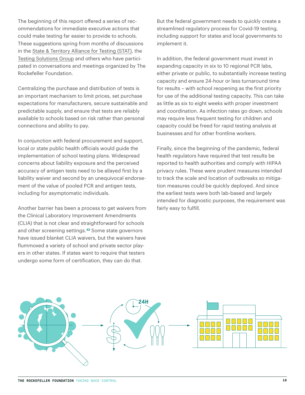The beginning of this report offered a series of recommendations for immediate executive actions that could make testing far easier to provide to schools. These suggestions spring from months of discussions in the [State & Territory Alliance for Testing \(STAT\),](https://www.rockefellerfoundation.org/covid-19-response/stat/) the [Testing Solutions Group](https://www.rockefellerfoundation.org/covid-19-national-testing-solutions-group/) and others who have participated in conversations and meetings organized by The Rockefeller Foundation.

Centralizing the purchase and distribution of tests is an important mechanism to limit prices, set purchase expectations for manufacturers, secure sustainable and predictable supply, and ensure that tests are reliably available to schools based on risk rather than personal connections and ability to pay.

In conjunction with federal procurement and support, local or state public health officials would guide the implementation of school testing plans. Widespread concerns about liability exposure and the perceived accuracy of antigen tests need to be allayed first by a liability waiver and second by an unequivocal endorsement of the value of pooled PCR and antigen tests, including for asymptomatic individuals.

Another barrier has been a process to get waivers from the Clinical Laboratory Improvement Amendments (CLIA) that is not clear and straightforward for schools and other screening settings.**[42](https://www.agencyiq.com/covid-weekly-recap-a-significant-change-to-fdas-authority-over-laboratory-tests-new-guidance-on-fda-inspections-fda-clarity-on-diagnostic-and-face-mask-policies/ 
)** Some state governors have issued blanket CLIA waivers, but the waivers have flummoxed a variety of school and private sector players in other states. If states want to require that testers undergo some form of certification, they can do that.

But the federal government needs to quickly create a streamlined regulatory process for Covid-19 testing, including support for states and local governments to implement it.

In addition, the federal government must invest in expanding capacity in six to 10 regional PCR labs, either private or public, to substantially increase testing capacity and ensure 24-hour or less turnaround time for results – with school reopening as the first priority for use of the additional testing capacity. This can take as little as six to eight weeks with proper investment and coordination. As infection rates go down, schools may require less frequent testing for children and capacity could be freed for rapid testing analysis at businesses and for other frontline workers.

Finally, since the beginning of the pandemic, federal health regulators have required that test results be reported to health authorities and comply with HIPAA privacy rules. These were prudent measures intended to track the scale and location of outbreaks so mitigation measures could be quickly deployed. And since the earliest tests were both lab-based and largely intended for diagnostic purposes, the requirement was fairly easy to fulfill.

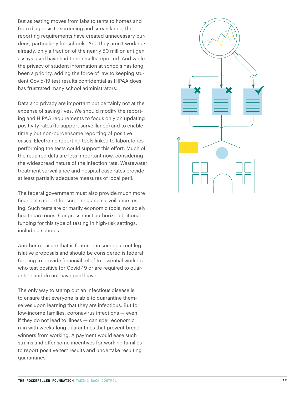But as testing moves from labs to tents to homes and from diagnosis to screening and surveillance, the reporting requirements have created unnecessary bur dens, particularly for schools. And they aren't working: already, only a fraction of the nearly 50 million antigen assays used have had their results reported. And while the privacy of student information at schools has long been a priority, adding the force of law to keeping stu dent Covid-19 test results confidential as HIPAA does has frustrated many school administrators.

Data and privacy are important but certainly not at the expense of saving lives. We should modify the report ing and HIPAA requirements to focus only on updating positivity rates (to support surveillance) and to enable timely but non-burdensome reporting of positive cases. Electronic reporting tools linked to laboratories performing the tests could support this effort. Much of the required data are less important now, considering the widespread nature of the infection rate. Wastewater treatment surveillance and hospital case rates provide at least partially adequate measures of local peril.

The federal government must also provide much more financial support for screening and surveillance test ing. Such tests are primarily economic tools, not solely healthcare ones. Congress must authorize additional funding for this type of testing in high-risk settings, including schools.

Another measure that is featured in some current leg islative proposals and should be considered is federal funding to provide financial relief to essential workers who test positive for Covid-19 or are required to quar antine and do not have paid leave.

The only way to stamp out an infectious disease is to ensure that everyone is able to quarantine them selves upon learning that they are infectious. But for low-income families, coronavirus infections — even if they do not lead to illness — can spell economic ruin with weeks-long quarantines that prevent bread winners from working. A payment would ease such strains and offer some incentives for working families to report positive test results and undertake resulting quarantines.

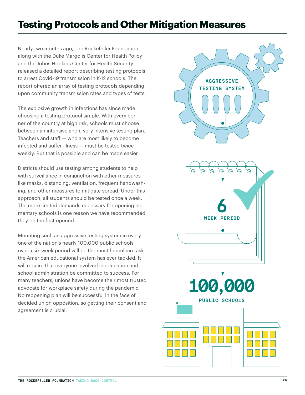# **Testing Protocols and Other Mitigation Measures**

Nearly two months ago, The Rockefeller Foundation along with the Duke Margolis Center for Health Policy and the Johns Hopkins Center for Health Security released a detailed [report](https://www.rockefellerfoundation.org/report/risk-assessment-and-testing-considerations-for-reducing-sars-cov-2-transmission-in-k-12-schools/) describing testing protocols to arrest Covid-19 transmission in K-12 schools. The report offered an array of testing protocols depending upon community transmission rates and types of tests.

The explosive growth in infections has since made choosing a testing protocol simple. With every corner of the country at high risk, schools must choose between an intensive and a very intensive testing plan. Teachers and staff — who are most likely to become infected and suffer illness — must be tested twice weekly. But that is possible and can be made easier.

Districts should use testing among students to help with surveillance in conjunction with other measures like masks, distancing, ventilation, frequent handwashing, and other measures to mitigate spread. Under this approach, all students should be tested once a week. The more limited demands necessary for opening elementary schools is one reason we have recommended they be the first opened.

Mounting such an aggressive testing system in every one of the nation's nearly 100,000 public schools over a six-week period will be the most herculean task the American educational system has ever tackled. It will require that everyone involved in education and school administration be committed to success. For many teachers, unions have become their most trusted advocate for workplace safety during the pandemic. No reopening plan will be successful in the face of decided union opposition, so getting their consent and agreement is crucial.

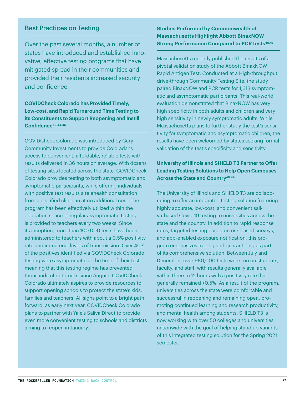### Best Practices on Testing

Over the past several months, a number of states have introduced and established innovative, effective testing programs that have mitigated spread in their communities and provided their residents increased security and confidence.

**COVIDCheck Colorado has Provided Timely, Low-cost, and Rapid Turnaround Time Testing to its Constituents to Support Reopening and Instill Confidence[43](https://covidcheckcolorado.org/?gclid=CjwKCAiAt9z-BRBCEiwA_bWv-NRdMv-DtCgLAtdTZZ0vzcA4KJe70ykIpHO3_J0MPyXM4JGykBXmnhoCq6UQAvD_BwE)[,44,](https://www.denverpost.com/2020/12/07/covid-19-vaccine-colorado-educators-teachers-priority/)[45](https://covidcheckcolorado.org/)** 

COVIDCheck Colorado was introduced by Gary Community Investments to provide Coloradans access to convenient, affordable, reliable tests with results delivered in 36 hours on average. With dozens of testing sites located across the state, COVIDCheck Colorado provides testing to both asymptomatic and symptomatic participants, while offering individuals with positive test results a telehealth consultation from a certified clinician at no additional cost. The program has been effectively utilized within the education space — regular asymptomatic testing is provided to teachers every two weeks. Since its inception, more than 100,000 tests have been administered to teachers with about a 0.5% positivity rate and immaterial levels of transmission. Over 40% of the positives identified via COVIDCheck Colorado testing were asymptomatic at the time of their test, meaning that this testing regime has prevented thousands of outbreaks since August. COVIDCheck Colorado ultimately aspires to provide resources to support opening schools to protect the state's kids, families and teachers. All signs point to a bright path forward, as early next year. COVIDCheck Colorado plans to partner with Yale's Saliva Direct to provide even more convenient testing to schools and districts aiming to reopen in January.

**Studies Performed by Commonwealth of Massachusetts Highlight Abbott BinaxNOW Strong Performance Compared to PCR tests<sup>46,[47](https://www.mass.gov/doc/binaxnow-antigen-test-graph/download)</sup></u>** 

Massachusetts recently published the results of a pivotal validation study of the Abbott BinaxNOW Rapid Antigen Test. Conducted at a High-throughput drive-through Community Testing Site, the study paired BinaxNOW and PCR tests for 1,613 symptomatic and asymptomatic participants. This real-world evaluation demonstrated that BinaxNOW has very high specificity in both adults and children and very high sensitivity in newly symptomatic adults. While Massachusetts plans to further study the test's sensitivity for symptomatic and asymptomatic children, the results have been welcomed by states seeking formal validation of the test's specificity and sensitivity.

### **University of Illinois and SHIELD T3 Partner to Offer Leading Testing Solutions to Help Open Campuses Across the State and Countr[y48](https://www.uillinois.edu/shield)[,49](https://splunk-public.machinedata.illinois.edu/en-US/app/uofi_shield_public_APP/home)**

The University of Illinois and SHIELD T3 are collaborating to offer an integrated testing solution featuring highly accurate, low-cost, and convenient saliva-based Covid-19 testing to universities across the state and the country. In addition to rapid response rates, targeted testing based on risk-based surveys, and app-enabled exposure notification, this program emphasizes tracing and quarantining as part of its comprehensive solution. Between July and December, over 980,000 tests were run on students, faculty, and staff, with results generally available within three to 12 hours with a positivity rate that generally remained <0.5%. As a result of the program, universities across the state were comfortable and successful in reopening and remaining open, promoting continued learning and research productivity, and mental health among students. SHIELD T3 is now working with over 50 colleges and universities nationwide with the goal of helping stand up variants of this integrated testing solution for the Spring 2021 semester.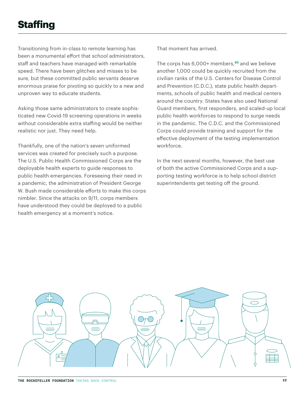# **Staffing**

Transitioning from in-class to remote learning has been a monumental effort that school administrators, staff and teachers have managed with remarkable speed. There have been glitches and misses to be sure, but these committed public servants deserve enormous praise for pivoting so quickly to a new and unproven way to educate students.

Asking those same administrators to create sophisticated new Covid-19 screening operations in weeks without considerable extra staffing would be neither realistic nor just. They need help.

Thankfully, one of the nation's seven uniformed services was created for precisely such a purpose. The U.S. Public Health Commissioned Corps are the deployable health experts to guide responses to public health emergencies. Foreseeing their need in a pandemic, the administration of President George W. Bush made considerable efforts to make this corps nimbler. Since the attacks on 9/11, corps members have understood they could be deployed to a public health emergency at a moment's notice.

That moment has arrived.

The corps has 6,000+ members,**[50](#page-32-0)** and we believe another 1,000 could be quickly recruited from the civilian ranks of the U.S. Centers for Disease Control and Prevention (C.D.C.), state public health departments, schools of public health and medical centers around the country. States have also used National Guard members, first responders, and scaled-up local public health workforces to respond to surge needs in the pandemic. The C.D.C. and the Commissioned Corps could provide training and support for the effective deployment of the testing implementation workforce.

In the next several months, however, the best use of both the active Commissioned Corps and a supporting testing workforce is to help school district superintendents get testing off the ground.

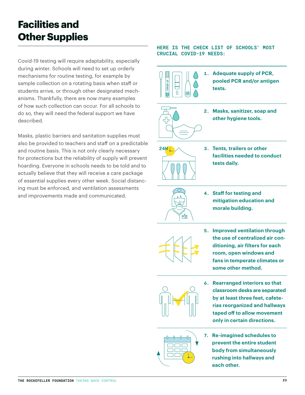# **Facilities and Other Supplies**

Covid-19 testing will require adaptability, especially during winter. Schools will need to set up orderly mechanisms for routine testing, for example by sample collection on a rotating basis when staff or students arrive, or through other designated mechanisms. Thankfully, there are now many examples of how such collection can occur. For all schools to do so, they will need the federal support we have described.

Masks, plastic barriers and sanitation supplies must also be provided to teachers and staff on a predictable and routine basis. This is not only clearly necessary for protections but the reliability of supply will prevent hoarding. Everyone in schools needs to be told and to actually believe that they will receive a care package of essential supplies every other week. Social distancing must be enforced, and ventilation assessments and improvements made and communicated.

#### **HERE IS THE CHECK LIST OF SCHOOLS' MOST CRUCIAL COVID-19 NEEDS:**





**3. Tents, trailers or other facilities needed to conduct tests daily.**



- **4. Staff for testing and mitigation education and morale building.**
- 
- **5. Improved ventilation through the use of centralized air conditioning, air filters for each room, open windows and fans in temperate climates or some other method.**



**6. Rearranged interiors so that classroom desks are separated by at least three feet, cafeterias reorganized and hallways taped off to allow movement only in certain directions.**



**7. Re-imagined schedules to prevent the entire student body from simultaneously rushing into hallways and each other.**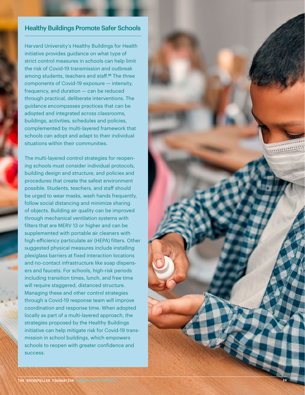### Healthy Buildings Promote Safer Schools

Harvard University's Healthy Buildings for Health initiative provides guidance on what type of strict control measures in schools can help limit the risk of Covid-19 transmission and outbreak among students, teachers and staff.**[51](#page-32-0)** The three components of Covid-19 exposure — intensity, frequency, and duration — can be reduced through practical, deliberate interventions. The guidance encompasses practices that can be adopted and integrated across classrooms, buildings, activities, schedules and policies, complemented by multi-layered framework that schools can adopt and adapt to their individual situations within their communities.

The multi-layered control strategies for reopen ing schools must consider individual protocols, building design and structure, and policies and procedures that create the safest environment possible. Students, teachers, and staff should be urged to wear masks, wash hands frequently, follow social distancing and minimize sharing of objects. Building air quality can be improved through mechanical ventilation systems with filters that are MERV 13 or higher and can be supplemented with portable air cleaners with high-efficiency particulate air (HEPA) filters. Other suggested physical measures include installing plexiglass barriers at fixed interaction locations and no-contact infrastructure like soap dispens ers and faucets. For schools, high-risk periods including transition times, lunch, and free time will require staggered, distanced structure. Managing these and other control strategies through a Covid-19 response team will improve coordination and response time. When adopted locally as part of a multi-layered approach, the strategies proposed by the Healthy Buildings initiative can help mitigate risk for Covid-19 trans mission in school buildings, which empowers schools to reopen with greater confidence and success.

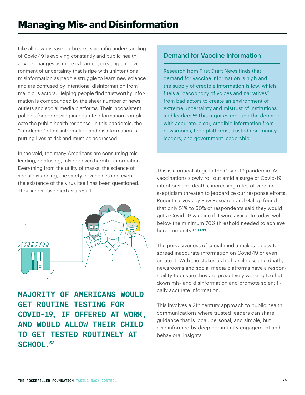Like all new disease outbreaks, scientific understanding of Covid-19 is evolving constantly and public health advice changes as more is learned, creating an environment of uncertainty that is ripe with unintentional misinformation as people struggle to learn new science and are confused by intentional disinformation from malicious actors. Helping people find trustworthy information is compounded by the sheer number of news outlets and social media platforms. Their inconsistent policies for addressing inaccurate information complicate the public health response. In this pandemic, the "infodemic" of misinformation and disinformation is putting lives at risk and must be addressed.

In the void, too many Americans are consuming misleading, confusing, false or even harmful information. Everything from the utility of masks, the science of social distancing, the safety of vaccines and even the existence of the virus itself has been questioned. Thousands have died as a result.



**MAJORITY OF AMERICANS WOULD GET ROUTINE TESTING FOR COVID-19, IF OFFERED AT WORK, AND WOULD ALLOW THEIR CHILD TO GET TESTED ROUTINELY AT SCHOOL[.52](#page-32-0)**

# Demand for Vaccine Information

Research from First Draft News finds that demand for vaccine information is high and the supply of credible information is low, which fuels a "cacophony of voices and narratives" from bad actors to create an environment of extreme uncertainty and mistrust of institutions and leaders.**[53](#page-32-0)** This requires meeting the demand with accurate, clear, credible information from newsrooms, tech platforms, trusted community leaders, and government leadership.

This is a critical stage in the Covid-19 pandemic. As vaccinations slowly roll out amid a surge of Covid-19 infections and deaths, increasing rates of vaccine skepticism threaten to jeopardize our response efforts. Recent surveys by Pew Research and Gallup found that only 51% to 60% of respondents said they would get a Covid-19 vaccine if it were available today, well below the minimum 70% threshold needed to achieve herd immunity.**[54](https://www.pewresearch.org/science/2020/09/17/u-s-public-now-divided-over-whether-to-get-covid-19-vaccine/
),[55,](https://news.gallup.com/poll/321839/readiness-covid-vaccine-falls-past-month.aspx)[56](https://www.pewresearch.org/science/2020/12/03/intent-to-get-a-covid-19-vaccine-rises-to-60-as-confidence-in-research-and-development-process-increases/)**

The pervasiveness of social media makes it easy to spread inaccurate information on Covid-19 or even create it. With the stakes as high as illness and death, newsrooms and social media platforms have a responsibility to ensure they are proactively working to shut down mis- and disinformation and promote scientifically accurate information.

This involves a 21<sup>st</sup> century approach to public health communications where trusted leaders can share guidance that is local, personal, and simple, but also informed by deep community engagement and behavioral insights.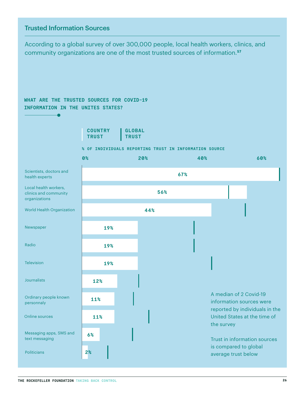# Trusted Information Sources

According to a global survey of over 300,000 people, local health workers, clinics, and community organizations are one of the most trusted sources of information.**[57](https://ccp.jhu.edu/kap-covid/kap-covid-country-profiles-with-demographic-disaggregation/)**

### **WHAT ARE THE TRUSTED SOURCES FOR COVID-19 INFORMATION IN THE UNITES STATES?**



#### **% OF INDIVIDUALS REPORTING TRUST IN INFORMATION SOURCE**

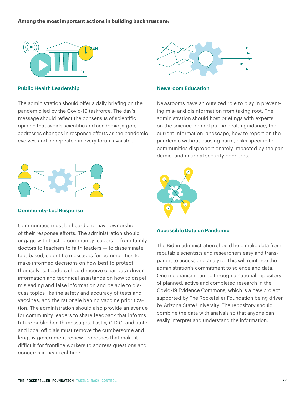#### **Among the most important actions in building back trust are:**



#### **Public Health Leadership**

The administration should offer a daily briefing on the pandemic led by the Covid-19 taskforce. The day's message should reflect the consensus of scientific opinion that avoids scientific and academic jargon, addresses changes in response efforts as the pandemic evolves, and be repeated in every forum available.



#### **Community-Led Response**

Communities must be heard and have ownership of their response efforts. The administration should engage with trusted community leaders — from family doctors to teachers to faith leaders — to disseminate fact-based, scientific messages for communities to make informed decisions on how best to protect themselves. Leaders should receive clear data-driven information and technical assistance on how to dispel misleading and false information and be able to discuss topics like the safety and accuracy of tests and vaccines, and the rationale behind vaccine prioritization. The administration should also provide an avenue for community leaders to share feedback that informs future public health messages. Lastly, C.D.C. and state and local officials must remove the cumbersome and lengthy government review processes that make it difficult for frontline workers to address questions and concerns in near real-time.



#### **Newsroom Education**

Newsrooms have an outsized role to play in preventing mis- and disinformation from taking root. The administration should host briefings with experts on the science behind public health guidance, the current information landscape, how to report on the pandemic without causing harm, risks specific to communities disproportionately impacted by the pandemic, and national security concerns.



#### **Accessible Data on Pandemic**

The Biden administration should help make data from reputable scientists and researchers easy and transparent to access and analyze. This will reinforce the administration's commitment to science and data. One mechanism can be through a national repository of planned, active and completed research in the Covid-19 Evidence Commons, which is a new project supported by The Rockefeller Foundation being driven by Arizona State University. The repository should combine the data with analysis so that anyone can easily interpret and understand the information.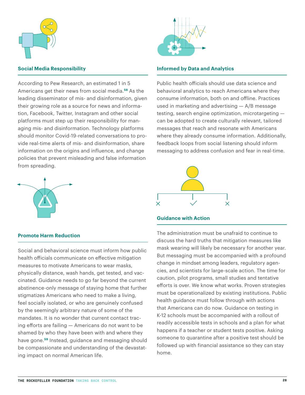

#### **Social Media Responsibility**

According to Pew Research, an estimated 1 in 5 Americans get their news from social media.**[58](https://www.journalism.org/2020/07/30/americans-who-mainly-get-their-news-on-social-media-are-less-engaged-less-knowledgeable/pj_2020-07-30_social-media-news_00-01/)** As the leading disseminator of mis- and disinformation, given their growing role as a source for news and information, Facebook, Twitter, Instagram and other social platforms must step up their responsibility for managing mis- and disinformation. Technology platforms should monitor Covid-19-related conversations to provide real-time alerts of mis- and disinformation, share information on the origins and influence, and change policies that prevent misleading and false information from spreading.



#### **Promote Harm Reduction**

Social and behavioral science must inform how public health officials communicate on effective mitigation measures to motivate Americans to wear masks, physically distance, wash hands, get tested, and vaccinated. Guidance needs to go far beyond the current abstinence-only message of staying home that further stigmatizes Americans who need to make a living, feel socially isolated, or who are genuinely confused by the seemingly arbitrary nature of some of the mandates. It is no wonder that current contact tracing efforts are failing — Americans do not want to be shamed by who they have been with and where they have gone.**[59](#page-32-0)** Instead, guidance and messaging should be compassionate and understanding of the devastating impact on normal American life.



#### **Informed by Data and Analytics**

Public health officials should use data science and behavioral analytics to reach Americans where they consume information, both on and offline. Practices used in marketing and advertising — A/B message testing, search engine optimization, microtargeting can be adopted to create culturally relevant, tailored messages that reach and resonate with Americans where they already consume information. Additionally, feedback loops from social listening should inform messaging to address confusion and fear in real-time.



#### **Guidance with Action**

The administration must be unafraid to continue to discuss the hard truths that mitigation measures like mask wearing will likely be necessary for another year. But messaging must be accompanied with a profound change in mindset among leaders, regulatory agencies, and scientists for large-scale action. The time for caution, pilot programs, small studies and tentative efforts is over. We know what works. Proven strategies must be operationalized by existing institutions. Public health guidance must follow through with actions that Americans can do now. Guidance on testing in K-12 schools must be accompanied with a rollout of readily accessible tests in schools and a plan for what happens if a teacher or student tests positive. Asking someone to quarantine after a positive test should be followed up with financial assistance so they can stay home.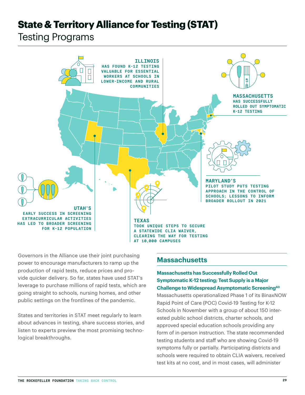# **State & Territory Alliance for Testing (STAT)**

Testing Programs



Governors in the Alliance use their joint purchasing power to encourage manufacturers to ramp up the production of rapid tests, reduce prices and provide quicker delivery. So far, states have used STAT's leverage to purchase millions of rapid tests, which are going straight to schools, nursing homes, and other public settings on the frontlines of the pandemic.

States and territories in STAT meet regularly to learn about advances in testing, share success stories, and listen to experts preview the most promising technological breakthroughs.

### **Massachusetts**

#### **Massachusetts has Successfully Rolled Out Symptomatic K-12 testing; Test Supply is a Major Challenge to Widespread Asymptomatic Screening<sup>60</sup>**

Massachusetts operationalized Phase 1 of its BinaxNOW Rapid Point of Care (POC) Covid-19 Testing for K-12 Schools in November with a group of about 150 interested public school districts, charter schools, and approved special education schools providing any form of in-person instruction. The state recommended testing students and staff who are showing Covid-19 symptoms fully or partially. Participating districts and schools were required to obtain CLIA waivers, received test kits at no cost, and in most cases, will administer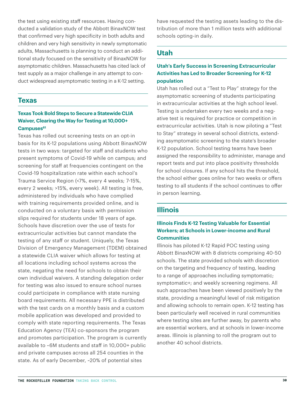the test using existing staff resources. Having conducted a validation study of the Abbott BinaxNOW test that confirmed very high specificity in both adults and children and very high sensitivity in newly symptomatic adults, Massachusetts is planning to conduct an additional study focused on the sensitivity of BinaxNOW for asymptomatic children. Massachusetts has cited lack of test supply as a major challenge in any attempt to conduct widespread asymptomatic testing in a K-12 setting.

#### **Texas**

#### **Texas Took Bold Steps to Secure a Statewide CLIA Waiver, Clearing the Way for Testing at 10,000+ Campuse[s61](https://tea.texas.gov/sites/default/files/covid/k-12_covid-19_testing_project_faq.pdf)**

Texas has rolled out screening tests on an opt-in basis for its K-12 populations using Abbott BinaxNOW tests in two ways: targeted for staff and students who present symptoms of Covid-19 while on campus; and screening for staff at frequencies contingent on the Covid-19 hospitalization rate within each school's Trauma Service Region (<7%, every 4 weeks; 7-15%, every 2 weeks; >15%, every week). All testing is free, administered by individuals who have complied with training requirements provided online, and is conducted on a voluntary basis with permission slips required for students under 18 years of age. Schools have discretion over the use of tests for extracurricular activities but cannot mandate the testing of any staff or student. Uniquely, the Texas Division of Emergency Management (TDEM) obtained a statewide CLIA waiver which allows for testing at all locations including school systems across the state, negating the need for schools to obtain their own individual waivers. A standing delegation order for testing was also issued to ensure school nurses could participate in compliance with state nursing board requirements. All necessary PPE is distributed with the test cards on a monthly basis and a custom mobile application was developed and provided to comply with state reporting requirements. The Texas Education Agency (TEA) co-sponsors the program and promotes participation. The program is currently available to ~6M students and staff in 10,000+ public and private campuses across all 254 counties in the state. As of early December, ~20% of potential sites

have requested the testing assets leading to the distribution of more than 1 million tests with additional schools opting-in daily.

# **Utah**

#### **Utah's Early Success in Screening Extracurricular Activities has Led to Broader Screening for K-12 population**

Utah has rolled out a "Test to Play" strategy for the asymptomatic screening of students participating in extracurricular activities at the high school level. Testing is undertaken every two weeks and a negative test is required for practice or competition in extracurricular activities. Utah is now piloting a "Test to Stay" strategy in several school districts, extending asymptomatic screening to the state's broader K-12 population. School testing teams have been assigned the responsibility to administer, manage and report tests and put into place positivity thresholds for school closures. If any school hits the threshold, the school either goes online for two weeks or offers testing to all students if the school continues to offer in person learning.

### **Illinois**

### **Illinois Finds K-12 Testing Valuable for Essential Workers; at Schools in Lower-income and Rural Communities**

Illinois has piloted K-12 Rapid POC testing using Abbott BinaxNOW with 8 districts comprising 40-50 schools. The state provided schools with discretion on the targeting and frequency of testing, leading to a range of approaches including symptomatic; symptomatic+; and weekly screening regimens. All such approaches have been viewed positively by the state, providing a meaningful level of risk mitigation and allowing schools to remain open. K-12 testing has been particularly well received in rural communities where testing sites are further away, by parents who are essential workers, and at schools in lower-income areas. Illinois is planning to roll the program out to another 40 school districts.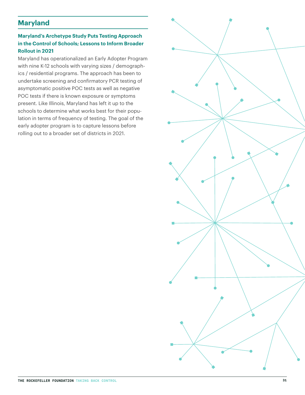# **Maryland**

### **Maryland's Archetype Study Puts Testing Approach in the Control of Schools; Lessons to Inform Broader Rollout in 2021**

Maryland has operationalized an Early Adopter Program with nine K-12 schools with varying sizes / demographics / residential programs. The approach has been to undertake screening and confirmatory PCR testing of asymptomatic positive POC tests as well as negative POC tests if there is known exposure or symptoms present. Like Illinois, Maryland has left it up to the schools to determine what works best for their population in terms of frequency of testing. The goal of the early adopter program is to capture lessons before rolling out to a broader set of districts in 2021.

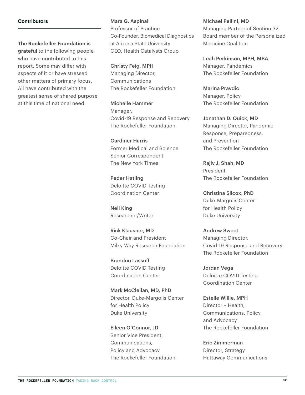#### **Contributors**

**The Rockefeller Foundation is** 

**grateful** to the following people who have contributed to this report. Some may differ with aspects of it or have stressed other matters of primary focus. All have contributed with the greatest sense of shared purpose at this time of national need.

Mara G. Aspinall Professor of Practice Co-Founder, Biomedical Diagnostics at Arizona State University CEO, Health Catalysts Group

Christy Feig, MPH Managing Director, Communications The Rockefeller Foundation

Michelle Hammer Manager, Covid-19 Response and Recovery The Rockefeller Foundation

Gardiner Harris Former Medical and Science Senior Correspondent The New York Times

Peder Hatling Deloitte COVID Testing Coordination Center

Neil King Researcher/Writer

Rick Klausner, MD Co-Chair and President Milky Way Research Foundation

Brandon Lassoff Deloitte COVID Testing Coordination Center

Mark McClellan, MD, PhD Director, Duke-Margolis Center for Health Policy Duke University

Eileen O'Connor, JD Senior Vice President, Communications, Policy and Advocacy The Rockefeller Foundation Michael Pellini, MD Managing Partner of Section 32 Board member of the Personalized Medicine Coalition

Leah Perkinson, MPH, MBA Manager, Pandemics The Rockefeller Foundation

Marina Pravdic Manager, Policy The Rockefeller Foundation

Jonathan D. Quick, MD Managing Director, Pandemic Response, Preparedness, and Prevention The Rockefeller Foundation

Rajiv J. Shah, MD President The Rockefeller Foundation

Christina Silcox, PhD Duke-Margolis Center for Health Policy Duke University

Andrew Sweet Managing Director, Covid-19 Response and Recovery The Rockefeller Foundation

Jordan Vega Deloitte COVID Testing Coordination Center

Estelle Willie, MPH Director – Health, Communications, Policy, and Advocacy The Rockefeller Foundation

Eric Zimmerman Director, Strategy Hattaway Communications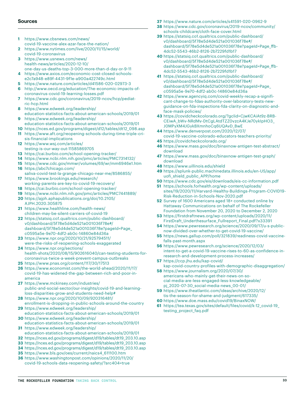#### <span id="page-32-0"></span>**Sources**

- **1** [https://www.cbsnews.com/news/](https://www.cbsnews.com/news/covid-19-vaccine-alex-azar-face-the-nation/) [covid-19-vaccine-alex-azar-face-the-nation/](https://www.cbsnews.com/news/covid-19-vaccine-alex-azar-face-the-nation/)
- **2** https://www.nytimes.com/live/2020/11/15/world/ covid-19-coronavirus
- **3** https://www.usnews.com/news/ health-news/articles/2020-12-10/ one-day-us-deaths-top-3-000-more-than-d-day-or-9-11
- **4** https://www.axios.com/economic-cost-closed-schoolse2c7a948-e89f-4431-9f1e-a900a422749c.html
- **5** https://www.nature.com/articles/d41586-020-02973-3
- **6** http://www.oecd.org/education/The-economic-impacts-ofcoronavirus-covid-19-learning-losses.pdf
- **7** https://www.cdc.gov/coronavirus/2019-ncov/hcp/pediatric-hcp.html
- **8** https://www.edweek.org/leadership/ education-statistics-facts-about-american-schools/2019/01
- **9** https://www.edweek.org/leadership/ education-statistics-facts-about-american-schools/2019/01
- **10** https://nces.ed.gov/programs/digest/d12/tables/dt12\_098.asp
- **11** https://www.aft.org/reopening-schools-during-time-triple-crisis-financial-implications
- **12** [https://www.wsj.com/articles/](https://www.wsj.com/articles/testing-is-our-way-out-11585869705) [testing-is-our-way-out-11585869705](https://www.wsj.com/articles/testing-is-our-way-out-11585869705)
- **13** https://cai.burbio.com/school-opening-tracker/
- **14** https://www.ncbi.nlm.nih.gov/pmc/articles/PMC7314132/
- **15** https://www.cdc.gov/mmwr/volumes/69/wr/mm6946e1.htm **16** https://abc7chicago.com/
- saliva-covid-test-la-grange-chicago-near-me/8586855/ **17** https://www.brookings.edu/research/
- working-parents-are-key-to-covid-19-recovery/
- **18** <https://cai.burbio.com/school-opening-tracker/>
- **19** https://www.ncbi.nlm.nih.gov/pmc/articles/PMC7441889/
- **20** https://ajph.aphapublications.org/doi/10.2105/ AJPH.2020.305875
- **21** https://www.healthline.com/health-news/ children-may-be-silent-carriers-of-covid-19
- **22** https://statsiq.co1.qualtrics.com/public-dashboard/ v0/dashboard/5f78e5d4de521a001036f78e#/ dashboard/5f78e5d4de521a001036f78e?pageId=Page\_ c0595a5e-9e70-4df2-ab0c-14860e84d36a
- **23** https://www.npr.org/2020/10/21/925794511/ were-the-risks-of-reopening-schools-exaggerated
- **24** https://www.npr.org/sections/ health-shots/2020/08/15/902616040/can-testing-students-forcoronavirus-twice-a-week-prevent-campus-outbreaks
- **25** https://www.pnas.org/content/117/30/17513
- **26** [https://www.economist.com/the-world-ahead/2020/11/17/](https://www.economist.com/the-world-ahead/2020/11/17/covid-19-has-widened-the-gap-between-rich-and-poor-in-america) [covid-19-has-widened-the-gap-between-rich-and-poor-in](https://www.economist.com/the-world-ahead/2020/11/17/covid-19-has-widened-the-gap-between-rich-and-poor-in-america)[america](https://www.economist.com/the-world-ahead/2020/11/17/covid-19-has-widened-the-gap-between-rich-and-poor-in-america)
- **27** https://www.mckinsey.com/industries/ public-and-social-sector/our-insights/covid-19-and-learningloss-disparities-grow-and-students-need-help#
- **28** [https://www.npr.org/2020/10/09/920316481/](https://www.npr.org/2020/10/09/920316481/enrollment-is-dropping-in-public-schools-around-the-country) [enrollment-is-dropping-in-public-schools-around-the-country](https://www.npr.org/2020/10/09/920316481/enrollment-is-dropping-in-public-schools-around-the-country)
- **29** https://www.edweek.org/leadership/ education-statistics-facts-about-american-schools/2019/01 **30** https://www.edweek.org/leadership/
- education-statistics-facts-about-american-schools/2019/01 **31** https://www.edweek.org/leadership/
- education-statistics-facts-about-american-schools/2019/01
- **32** https://nces.ed.gov/programs/digest/d19/tables/dt19\_203.10.asp
- **33** https://nces.ed.gov/programs/digest/d19/tables/dt19\_203.10.asp
- **34** https://nces.ed.gov/programs/digest/d19/tables/dt19\_203.10.asp
- **35** [https://www.bls.gov/oes/current/naics4\\_611100.htm](https://www.bls.gov/oes/current/naics4_611100.htm)
- **36** [https://www.washingtonpost.com/opinions/2020/11/20/](https://www.washingtonpost.com/opinions/2020/11/20/covid-19-schools-data-reopening-safety/?arc404=true) [covid-19-schools-data-reopening-safety/?arc404=true](https://www.washingtonpost.com/opinions/2020/11/20/covid-19-schools-data-reopening-safety/?arc404=true)
- **37** <https://www.nature.com/articles/s41591-020-0962-9>
- **38** [https://www.cdc.gov/coronavirus/2019-ncov/community/](https://www.cdc.gov/coronavirus/2019-ncov/community/schools-childcare/cloth-face-cover.html) [schools-childcare/cloth-face-cover.html](https://www.cdc.gov/coronavirus/2019-ncov/community/schools-childcare/cloth-face-cover.html)
- **39** [https://statsiq.co1.qualtrics.com/public-dashboard/](https://statsiq.co1.qualtrics.com/public-dashboard/v0/dashboard/5f78e5d4de521a001036f78e#/dashboard/5f78e5d4de521a001036f78e?pageId=Page_ffb4dc52-5543-46b2-8126-2b7229fd1b17) [v0/dashboard/5f78e5d4de521a001036f78e#/](https://statsiq.co1.qualtrics.com/public-dashboard/v0/dashboard/5f78e5d4de521a001036f78e#/dashboard/5f78e5d4de521a001036f78e?pageId=Page_ffb4dc52-5543-46b2-8126-2b7229fd1b17) [dashboard/5f78e5d4de521a001036f78e?pageId=Page\\_ffb-](https://statsiq.co1.qualtrics.com/public-dashboard/v0/dashboard/5f78e5d4de521a001036f78e#/dashboard/5f78e5d4de521a001036f78e?pageId=Page_ffb4dc52-5543-46b2-8126-2b7229fd1b17)[4dc52-5543-46b2-8126-2b7229fd1b17](https://statsiq.co1.qualtrics.com/public-dashboard/v0/dashboard/5f78e5d4de521a001036f78e#/dashboard/5f78e5d4de521a001036f78e?pageId=Page_ffb4dc52-5543-46b2-8126-2b7229fd1b17)
- **40** [https://statsiq.co1.qualtrics.com/public-dashboard/](https://statsiq.co1.qualtrics.com/public-dashboard/v0/dashboard/5f78e5d4de521a001036f78e#/dashboard/5f78e5d4de521a001036f78e?pageId=Page_ffb4dc52-5543-46b2-8126-2b7229fd1b17) [v0/dashboard/5f78e5d4de521a001036f78e#/](https://statsiq.co1.qualtrics.com/public-dashboard/v0/dashboard/5f78e5d4de521a001036f78e#/dashboard/5f78e5d4de521a001036f78e?pageId=Page_ffb4dc52-5543-46b2-8126-2b7229fd1b17) [dashboard/5f78e5d4de521a001036f78e?pageId=Page\\_ffb-](https://statsiq.co1.qualtrics.com/public-dashboard/v0/dashboard/5f78e5d4de521a001036f78e#/dashboard/5f78e5d4de521a001036f78e?pageId=Page_ffb4dc52-5543-46b2-8126-2b7229fd1b17)[4dc52-5543-46b2-8126-2b7229fd1b17](https://statsiq.co1.qualtrics.com/public-dashboard/v0/dashboard/5f78e5d4de521a001036f78e#/dashboard/5f78e5d4de521a001036f78e?pageId=Page_ffb4dc52-5543-46b2-8126-2b7229fd1b17)
- **41** [https://statsiq.co1.qualtrics.com/public-dashboard/](https://statsiq.co1.qualtrics.com/public-dashboard/v0/dashboard/5f78e5d4de521a001036f78e#/dashboard/5f78e5d4de521a001036f78e?pageId=Page_c0595a5e-9e70-4df2-ab0c-14860e84d36a) [v0/dashboard/5f78e5d4de521a001036f78e#/](https://statsiq.co1.qualtrics.com/public-dashboard/v0/dashboard/5f78e5d4de521a001036f78e#/dashboard/5f78e5d4de521a001036f78e?pageId=Page_c0595a5e-9e70-4df2-ab0c-14860e84d36a) [dashboard/5f78e5d4de521a001036f78e?pageId=Page\\_](https://statsiq.co1.qualtrics.com/public-dashboard/v0/dashboard/5f78e5d4de521a001036f78e#/dashboard/5f78e5d4de521a001036f78e?pageId=Page_c0595a5e-9e70-4df2-ab0c-14860e84d36a) [c0595a5e-9e70-4df2-ab0c-14860e84d36a](https://statsiq.co1.qualtrics.com/public-dashboard/v0/dashboard/5f78e5d4de521a001036f78e#/dashboard/5f78e5d4de521a001036f78e?pageId=Page_c0595a5e-9e70-4df2-ab0c-14860e84d36a)
- **42** [https://www.agencyiq.com/covid-weekly-recap-a-signifi](https://www.agencyiq.com/covid-weekly-recap-a-significant-change-to-fdas-authority-over-laboratory-tests-new-guidance-on-fda-inspections-fda-clarity-on-diagnostic-and-face-mask-policies/)[cant-change-to-fdas-authority-over-laboratory-tests-new](https://www.agencyiq.com/covid-weekly-recap-a-significant-change-to-fdas-authority-over-laboratory-tests-new-guidance-on-fda-inspections-fda-clarity-on-diagnostic-and-face-mask-policies/)[guidance-on-fda-inspections-fda-clarity-on-diagnostic-and](https://www.agencyiq.com/covid-weekly-recap-a-significant-change-to-fdas-authority-over-laboratory-tests-new-guidance-on-fda-inspections-fda-clarity-on-diagnostic-and-face-mask-policies/)[face-mask-policies/](https://www.agencyiq.com/covid-weekly-recap-a-significant-change-to-fdas-authority-over-laboratory-tests-new-guidance-on-fda-inspections-fda-clarity-on-diagnostic-and-face-mask-policies/)
- **43** https://covidcheckcolorado.org/?gclid=CjwKCAiAt9z-BRB-CEiwA\_bWv-NRdMv-DtCgLAtdTZZ0vzcA4KJe70ykIpHO3\_ J0MPyXM4JGykBXmnhoCq6UQAvD\_BwE
- **44** https://www.denverpost.com/2020/12/07/ covid-19-vaccine-colorado-educators-teachers-priority/
- **45** https://covidcheckcolorado.org/
- **46** https://www.mass.gov/doc/binaxnow-antigen-test-abstract/ download
- **47** https://www.mass.gov/doc/binaxnow-antigen-test-graph/ download
- **48** https://www.uillinois.edu/shield
- **49** https://splunk-public.machinedata.illinois.edu/en-US/app/ uofi\_shield\_public\_APP/home
- **50** https://www.cdc.gov/eis/downloads/eis-cc-information.pdf
- **51** https://schools.forhealth.org/wp-content/uploads/ sites/19/2020/11/Harvard-Healthy-Buildings-Program-COVID19- Risk-Reduction-in-Schools-Nov-2020.pdf
- **52** Survey of 1600 Americans aged 18+ conducted online by Hattaway Communications on behalf of The Rockefeller Foundation from November 20, 2020 to December 2, 2020
- **53** https://firstdraftnews.org/wp-content/uploads/2020/11/ FirstDraft\_Underthesurface\_Fullreport\_Final.pdf?x33391
- **54** https://www.pewresearch.org/science/2020/09/17/u-s-publicnow-divided-over-whether-to-get-covid-19-vaccine/
- **55** [https://news.gallup.com/poll/321839/readiness-covid-vaccine](https://news.gallup.com/poll/321839/readiness-covid-vaccine-falls-past-month.aspx)[falls-past-month.aspx](https://news.gallup.com/poll/321839/readiness-covid-vaccine-falls-past-month.aspx)
- **56** https://www.pewresearch.org/science/2020/12/03/ intent-to-get-a-covid-19-vaccine-rises-to-60-as-confidence-inresearch-and-development-process-increases/
- **57** https://ccp.jhu.edu/kap-covid/ kap-covid-country-profiles-with-demographic-disaggregation/
- **58** https://www.journalism.org/2020/07/30/ americans-who-mainly-get-their-news-on-social-media-are-less-engaged-less-knowledgeable/ pj\_2020-07-30\_social-media-news\_00-01/
- **59** https://www.theatlantic.com/ideas/archive/2020/12/ tis-the-season-for-shame-and-judgment/617335/
- **60** https://www.doe.mass.edu/covid19/BinaxNOW/
- **61** https://tea.texas.gov/sites/default/files/covid/k-12\_covid-19\_ testing\_project\_faq.pdf